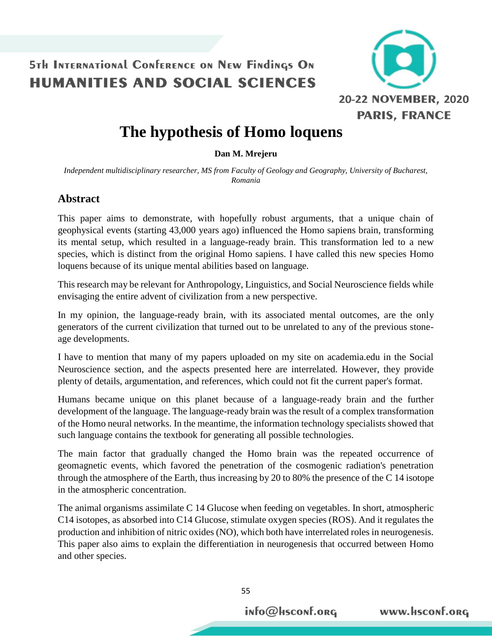

# **The hypothesis of Homo loquens**

**Dan M. Mrejeru**

*Independent multidisciplinary researcher, MS from Faculty of Geology and Geography, University of Bucharest, Romania*

### **Abstract**

This paper aims to demonstrate, with hopefully robust arguments, that a unique chain of geophysical events (starting 43,000 years ago) influenced the Homo sapiens brain, transforming its mental setup, which resulted in a language-ready brain. This transformation led to a new species, which is distinct from the original Homo sapiens. I have called this new species Homo loquens because of its unique mental abilities based on language.

This research may be relevant for Anthropology, Linguistics, and Social Neuroscience fields while envisaging the entire advent of civilization from a new perspective.

In my opinion, the language-ready brain, with its associated mental outcomes, are the only generators of the current civilization that turned out to be unrelated to any of the previous stoneage developments.

I have to mention that many of my papers uploaded on my site on academia.edu in the Social Neuroscience section, and the aspects presented here are interrelated. However, they provide plenty of details, argumentation, and references, which could not fit the current paper's format.

Humans became unique on this planet because of a language-ready brain and the further development of the language. The language-ready brain was the result of a complex transformation of the Homo neural networks. In the meantime, the information technology specialists showed that such language contains the textbook for generating all possible technologies.

The main factor that gradually changed the Homo brain was the repeated occurrence of geomagnetic events, which favored the penetration of the cosmogenic radiation's penetration through the atmosphere of the Earth, thus increasing by 20 to 80% the presence of the C 14 isotope in the atmospheric concentration.

The animal organisms assimilate C 14 Glucose when feeding on vegetables. In short, atmospheric C14 isotopes, as absorbed into C14 Glucose, stimulate oxygen species (ROS). And it regulates the production and inhibition of nitric oxides (NO), which both have interrelated roles in neurogenesis. This paper also aims to explain the differentiation in neurogenesis that occurred between Homo and other species.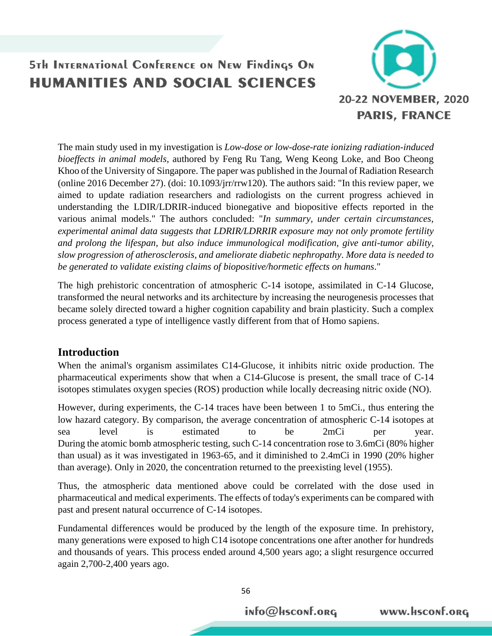

www.hsconf.org

The main study used in my investigation is *Low-dose or low-dose-rate ionizing radiation-induced bioeffects in animal models*, authored by Feng Ru Tang, Weng Keong Loke, and Boo Cheong Khoo of the University of Singapore. The paper was published in the Journal of Radiation Research (online 2016 December 27). (doi: 10.1093/jrr/rrw120). The authors said: "In this review paper, we aimed to update radiation researchers and radiologists on the current progress achieved in understanding the LDIR/LDRIR-induced bionegative and biopositive effects reported in the various animal models." The authors concluded: "*In summary, under certain circumstances, experimental animal data suggests that LDRIR/LDRRIR exposure may not only promote fertility and prolong the lifespan, but also induce immunological modification, give anti-tumor ability, slow progression of atherosclerosis, and ameliorate diabetic nephropathy*. *More data is needed to be generated to validate existing claims of biopositive/hormetic effects on humans*."

The high prehistoric concentration of atmospheric C-14 isotope, assimilated in C-14 Glucose, transformed the neural networks and its architecture by increasing the neurogenesis processes that became solely directed toward a higher cognition capability and brain plasticity. Such a complex process generated a type of intelligence vastly different from that of Homo sapiens.

#### **Introduction**

When the animal's organism assimilates C14-Glucose, it inhibits nitric oxide production. The pharmaceutical experiments show that when a C14-Glucose is present, the small trace of C-14 isotopes stimulates oxygen species (ROS) production while locally decreasing nitric oxide (NO).

However, during experiments, the C-14 traces have been between 1 to 5mCi., thus entering the low hazard category. By comparison, the average concentration of atmospheric C-14 isotopes at sea level is estimated to be 2mCi per year. During the atomic bomb atmospheric testing, such C-14 concentration rose to 3.6mCi (80% higher than usual) as it was investigated in 1963-65, and it diminished to 2.4mCi in 1990 (20% higher than average). Only in 2020, the concentration returned to the preexisting level (1955).

Thus, the atmospheric data mentioned above could be correlated with the dose used in pharmaceutical and medical experiments. The effects of today's experiments can be compared with past and present natural occurrence of C-14 isotopes.

Fundamental differences would be produced by the length of the exposure time. In prehistory, many generations were exposed to high C14 isotope concentrations one after another for hundreds and thousands of years. This process ended around 4,500 years ago; a slight resurgence occurred again 2,700-2,400 years ago.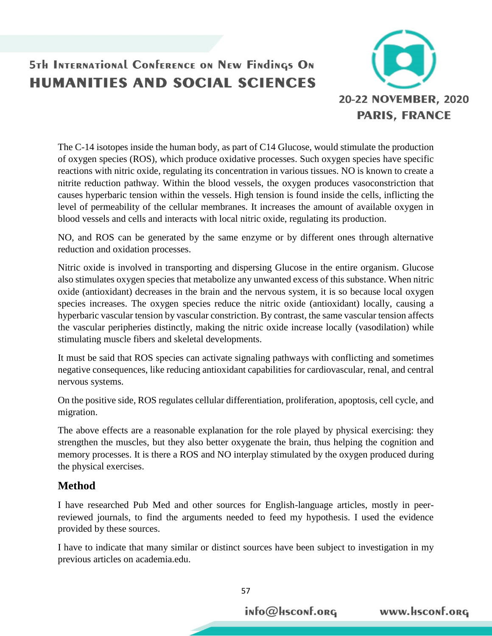

www.Hsconf.org

The C-14 isotopes inside the human body, as part of C14 Glucose, would stimulate the production of oxygen species (ROS), which produce oxidative processes. Such oxygen species have specific reactions with nitric oxide, regulating its concentration in various tissues. NO is known to create a nitrite reduction pathway. Within the blood vessels, the oxygen produces vasoconstriction that causes hyperbaric tension within the vessels. High tension is found inside the cells, inflicting the level of permeability of the cellular membranes. It increases the amount of available oxygen in blood vessels and cells and interacts with local nitric oxide, regulating its production.

NO, and ROS can be generated by the same enzyme or by different ones through alternative reduction and oxidation processes.

Nitric oxide is involved in transporting and dispersing Glucose in the entire organism. Glucose also stimulates oxygen species that metabolize any unwanted excess of this substance. When nitric oxide (antioxidant) decreases in the brain and the nervous system, it is so because local oxygen species increases. The oxygen species reduce the nitric oxide (antioxidant) locally, causing a hyperbaric vascular tension by vascular constriction. By contrast, the same vascular tension affects the vascular peripheries distinctly, making the nitric oxide increase locally (vasodilation) while stimulating muscle fibers and skeletal developments.

It must be said that ROS species can activate signaling pathways with conflicting and sometimes negative consequences, like reducing antioxidant capabilities for cardiovascular, renal, and central nervous systems.

On the positive side, ROS regulates cellular differentiation, proliferation, apoptosis, cell cycle, and migration.

The above effects are a reasonable explanation for the role played by physical exercising: they strengthen the muscles, but they also better oxygenate the brain, thus helping the cognition and memory processes. It is there a ROS and NO interplay stimulated by the oxygen produced during the physical exercises.

#### **Method**

I have researched Pub Med and other sources for English-language articles, mostly in peerreviewed journals, to find the arguments needed to feed my hypothesis. I used the evidence provided by these sources.

I have to indicate that many similar or distinct sources have been subject to investigation in my previous articles on academia.edu.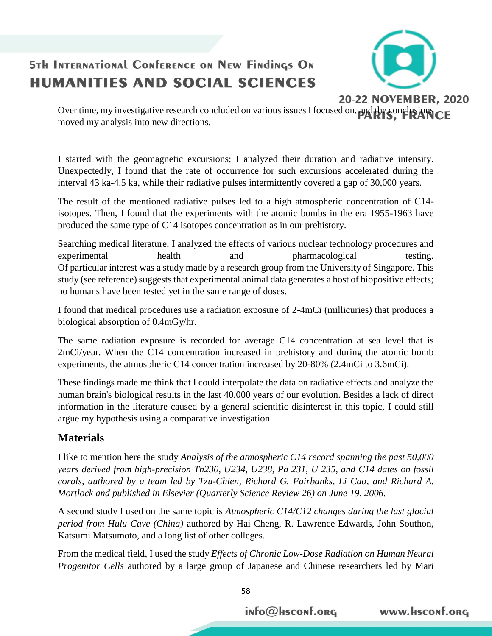

20-22 NOVEMBER, 2020

www.hsconf.org

Over time, my investigative research concluded on various issues I focused on, and the conclusions CE moved my analysis into new directions.

I started with the geomagnetic excursions; I analyzed their duration and radiative intensity. Unexpectedly, I found that the rate of occurrence for such excursions accelerated during the interval 43 ka-4.5 ka, while their radiative pulses intermittently covered a gap of 30,000 years.

The result of the mentioned radiative pulses led to a high atmospheric concentration of C14 isotopes. Then, I found that the experiments with the atomic bombs in the era 1955-1963 have produced the same type of C14 isotopes concentration as in our prehistory.

Searching medical literature, I analyzed the effects of various nuclear technology procedures and experimental health and pharmacological testing. Of particular interest was a study made by a research group from the University of Singapore. This study (see reference) suggests that experimental animal data generates a host of biopositive effects; no humans have been tested yet in the same range of doses.

I found that medical procedures use a radiation exposure of 2-4mCi (millicuries) that produces a biological absorption of 0.4mGy/hr.

The same radiation exposure is recorded for average C14 concentration at sea level that is 2mCi/year. When the C14 concentration increased in prehistory and during the atomic bomb experiments, the atmospheric C14 concentration increased by 20-80% (2.4mCi to 3.6mCi).

These findings made me think that I could interpolate the data on radiative effects and analyze the human brain's biological results in the last 40,000 years of our evolution. Besides a lack of direct information in the literature caused by a general scientific disinterest in this topic, I could still argue my hypothesis using a comparative investigation.

### **Materials**

I like to mention here the study *Analysis of the atmospheric C14 record spanning the past 50,000 years derived from high-precision Th230, U234, U238, Pa 231, U 235, and C14 dates on fossil corals, authored by a team led by Tzu-Chien, Richard G. Fairbanks, Li Cao, and Richard A. Mortlock and published in Elsevier (Quarterly Science Review 26) on June 19, 2006.*

A second study I used on the same topic is *Atmospheric C14/C12 changes during the last glacial period from Hulu Cave (China)* authored by Hai Cheng, R. Lawrence Edwards, John Southon, Katsumi Matsumoto, and a long list of other colleges.

From the medical field, I used the study *Effects of Chronic Low-Dose Radiation on Human Neural Progenitor Cells* authored by a large group of Japanese and Chinese researchers led by Mari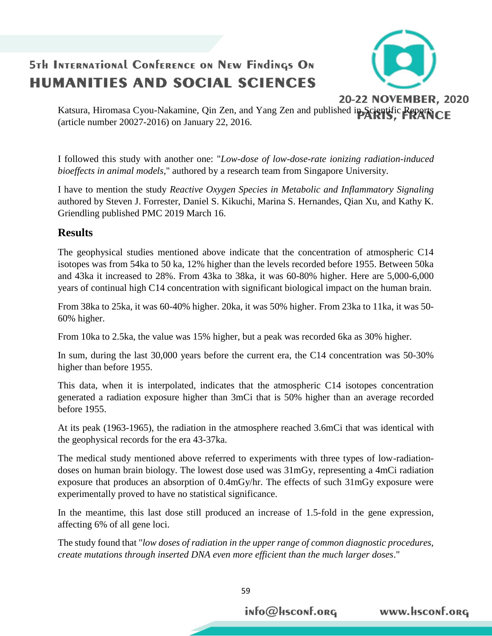

20-22 NOVEMBER, 2020

www.Hsconf.org

Katsura, Hiromasa Cyou-Nakamine, Qin Zen, and Yang Zen and published in Scientific Reports (article number 20027-2016) on January 22, 2016.

I followed this study with another one: "*Low-dose of low-dose-rate ionizing radiation-induced bioeffects in animal models,*" authored by a research team from Singapore University.

I have to mention the study *Reactive Oxygen Species in Metabolic and Inflammatory Signaling* authored by Steven J. Forrester, Daniel S. Kikuchi, Marina S. Hernandes, Qian Xu, and Kathy K. Griendling published PMC 2019 March 16.

### **Results**

The geophysical studies mentioned above indicate that the concentration of atmospheric C14 isotopes was from 54ka to 50 ka, 12% higher than the levels recorded before 1955. Between 50ka and 43ka it increased to 28%. From 43ka to 38ka, it was 60-80% higher. Here are 5,000-6,000 years of continual high C14 concentration with significant biological impact on the human brain.

From 38ka to 25ka, it was 60-40% higher. 20ka, it was 50% higher. From 23ka to 11ka, it was 50- 60% higher.

From 10ka to 2.5ka, the value was 15% higher, but a peak was recorded 6ka as 30% higher.

In sum, during the last 30,000 years before the current era, the C14 concentration was 50-30% higher than before 1955.

This data, when it is interpolated, indicates that the atmospheric C14 isotopes concentration generated a radiation exposure higher than 3mCi that is 50% higher than an average recorded before 1955.

At its peak (1963-1965), the radiation in the atmosphere reached 3.6mCi that was identical with the geophysical records for the era 43-37ka.

The medical study mentioned above referred to experiments with three types of low-radiationdoses on human brain biology. The lowest dose used was 31mGy, representing a 4mCi radiation exposure that produces an absorption of 0.4mGy/hr. The effects of such 31mGy exposure were experimentally proved to have no statistical significance.

In the meantime, this last dose still produced an increase of 1.5-fold in the gene expression, affecting 6% of all gene loci.

The study found that "*low doses of radiation in the upper range of common diagnostic procedures, create mutations through inserted DNA even more efficient than the much larger doses*."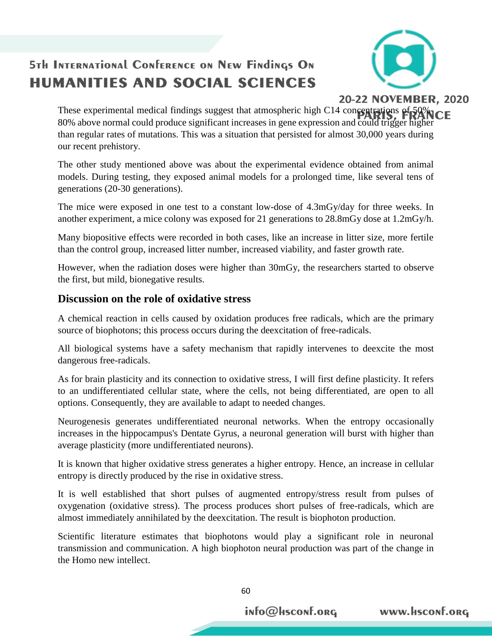

#### 20-22 NOVEMBER, 2020

www.Hsconf.org

These experimental medical findings suggest that atmospheric high C14 concentrations of 50% CF 80% above normal could produce significant increases in gene expression and could trigger higher than regular rates of mutations. This was a situation that persisted for almost 30,000 years during our recent prehistory.

The other study mentioned above was about the experimental evidence obtained from animal models. During testing, they exposed animal models for a prolonged time, like several tens of generations (20-30 generations).

The mice were exposed in one test to a constant low-dose of 4.3mGy/day for three weeks. In another experiment, a mice colony was exposed for 21 generations to 28.8mGy dose at 1.2mGy/h.

Many biopositive effects were recorded in both cases, like an increase in litter size, more fertile than the control group, increased litter number, increased viability, and faster growth rate.

However, when the radiation doses were higher than 30mGy, the researchers started to observe the first, but mild, bionegative results.

#### **Discussion on the role of oxidative stress**

A chemical reaction in cells caused by oxidation produces free radicals, which are the primary source of biophotons; this process occurs during the deexcitation of free-radicals.

All biological systems have a safety mechanism that rapidly intervenes to deexcite the most dangerous free-radicals.

As for brain plasticity and its connection to oxidative stress, I will first define plasticity. It refers to an undifferentiated cellular state, where the cells, not being differentiated, are open to all options. Consequently, they are available to adapt to needed changes.

Neurogenesis generates undifferentiated neuronal networks. When the entropy occasionally increases in the hippocampus's Dentate Gyrus, a neuronal generation will burst with higher than average plasticity (more undifferentiated neurons).

It is known that higher oxidative stress generates a higher entropy. Hence, an increase in cellular entropy is directly produced by the rise in oxidative stress.

It is well established that short pulses of augmented entropy/stress result from pulses of oxygenation (oxidative stress). The process produces short pulses of free-radicals, which are almost immediately annihilated by the deexcitation. The result is biophoton production.

Scientific literature estimates that biophotons would play a significant role in neuronal transmission and communication. A high biophoton neural production was part of the change in the Homo new intellect.

60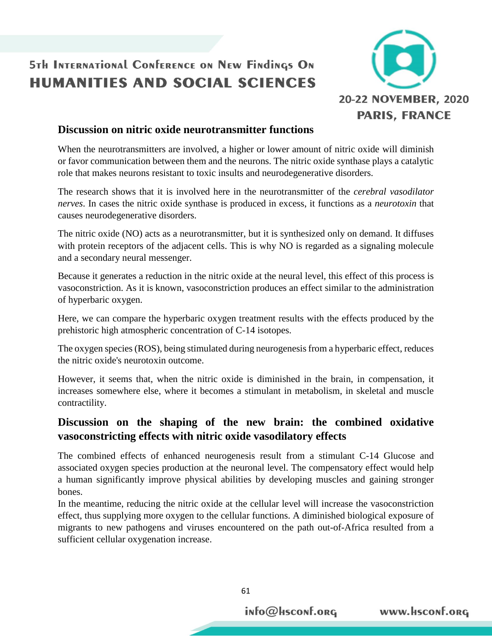

www.Hsconf.org

#### **Discussion on nitric oxide neurotransmitter functions**

When the neurotransmitters are involved, a higher or lower amount of nitric oxide will diminish or favor communication between them and the neurons. The nitric oxide synthase plays a catalytic role that makes neurons resistant to toxic insults and neurodegenerative disorders.

The research shows that it is involved here in the neurotransmitter of the *cerebral vasodilator nerves*. In cases the nitric oxide synthase is produced in excess, it functions as a *neurotoxin* that causes neurodegenerative disorders.

The nitric oxide (NO) acts as a neurotransmitter, but it is synthesized only on demand. It diffuses with protein receptors of the adjacent cells. This is why NO is regarded as a signaling molecule and a secondary neural messenger.

Because it generates a reduction in the nitric oxide at the neural level, this effect of this process is vasoconstriction. As it is known, vasoconstriction produces an effect similar to the administration of hyperbaric oxygen.

Here, we can compare the hyperbaric oxygen treatment results with the effects produced by the prehistoric high atmospheric concentration of C-14 isotopes.

The oxygen species (ROS), being stimulated during neurogenesis from a hyperbaric effect, reduces the nitric oxide's neurotoxin outcome.

However, it seems that, when the nitric oxide is diminished in the brain, in compensation, it increases somewhere else, where it becomes a stimulant in metabolism, in skeletal and muscle contractility.

### **Discussion on the shaping of the new brain: the combined oxidative vasoconstricting effects with nitric oxide vasodilatory effects**

The combined effects of enhanced neurogenesis result from a stimulant C-14 Glucose and associated oxygen species production at the neuronal level. The compensatory effect would help a human significantly improve physical abilities by developing muscles and gaining stronger bones.

In the meantime, reducing the nitric oxide at the cellular level will increase the vasoconstriction effect, thus supplying more oxygen to the cellular functions. A diminished biological exposure of migrants to new pathogens and viruses encountered on the path out-of-Africa resulted from a sufficient cellular oxygenation increase.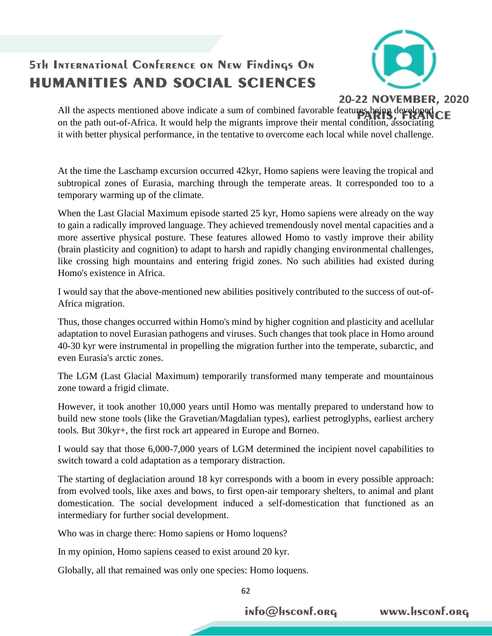

www.Hsconf.org

All the aspects mentioned above indicate a sum of combined favorable features being developed CF on the path out-of-Africa. It would help the migrants improve their mental condition, associating it with better physical performance, in the tentative to overcome each local while novel challenge.

At the time the Laschamp excursion occurred 42kyr, Homo sapiens were leaving the tropical and subtropical zones of Eurasia, marching through the temperate areas. It corresponded too to a temporary warming up of the climate.

When the Last Glacial Maximum episode started 25 kyr, Homo sapiens were already on the way to gain a radically improved language. They achieved tremendously novel mental capacities and a more assertive physical posture. These features allowed Homo to vastly improve their ability (brain plasticity and cognition) to adapt to harsh and rapidly changing environmental challenges, like crossing high mountains and entering frigid zones. No such abilities had existed during Homo's existence in Africa.

I would say that the above-mentioned new abilities positively contributed to the success of out-of-Africa migration.

Thus, those changes occurred within Homo's mind by higher cognition and plasticity and acellular adaptation to novel Eurasian pathogens and viruses. Such changes that took place in Homo around 40-30 kyr were instrumental in propelling the migration further into the temperate, subarctic, and even Eurasia's arctic zones.

The LGM (Last Glacial Maximum) temporarily transformed many temperate and mountainous zone toward a frigid climate.

However, it took another 10,000 years until Homo was mentally prepared to understand how to build new stone tools (like the Gravetian/Magdalian types), earliest petroglyphs, earliest archery tools. But 30kyr+, the first rock art appeared in Europe and Borneo.

I would say that those 6,000-7,000 years of LGM determined the incipient novel capabilities to switch toward a cold adaptation as a temporary distraction.

The starting of deglaciation around 18 kyr corresponds with a boom in every possible approach: from evolved tools, like axes and bows, to first open-air temporary shelters, to animal and plant domestication. The social development induced a self-domestication that functioned as an intermediary for further social development.

Who was in charge there: Homo sapiens or Homo loquens?

In my opinion, Homo sapiens ceased to exist around 20 kyr.

Globally, all that remained was only one species: Homo loquens.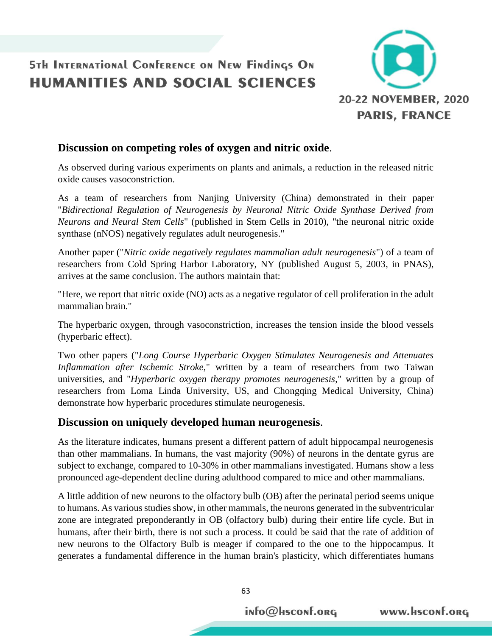

www.Hsconf.org

#### **Discussion on competing roles of oxygen and nitric oxide**.

As observed during various experiments on plants and animals, a reduction in the released nitric oxide causes vasoconstriction.

As a team of researchers from Nanjing University (China) demonstrated in their paper "*Bidirectional Regulation of Neurogenesis by Neuronal Nitric Oxide Synthase Derived from Neurons and Neural Stem Cells*" (published in Stem Cells in 2010), "the neuronal nitric oxide synthase (nNOS) negatively regulates adult neurogenesis."

Another paper ("*Nitric oxide negatively regulates mammalian adult neurogenesis*") of a team of researchers from Cold Spring Harbor Laboratory, NY (published August 5, 2003, in PNAS), arrives at the same conclusion. The authors maintain that:

"Here, we report that nitric oxide (NO) acts as a negative regulator of cell proliferation in the adult mammalian brain."

The hyperbaric oxygen, through vasoconstriction, increases the tension inside the blood vessels (hyperbaric effect).

Two other papers ("*Long Course Hyperbaric Oxygen Stimulates Neurogenesis and Attenuates Inflammation after Ischemic Stroke*," written by a team of researchers from two Taiwan universities, and "*Hyperbaric oxygen therapy promotes neurogenesis*," written by a group of researchers from Loma Linda University, US, and Chongqing Medical University, China) demonstrate how hyperbaric procedures stimulate neurogenesis.

#### **Discussion on uniquely developed human neurogenesis**.

As the literature indicates, humans present a different pattern of adult hippocampal neurogenesis than other mammalians. In humans, the vast majority (90%) of neurons in the dentate gyrus are subject to exchange, compared to 10-30% in other mammalians investigated. Humans show a less pronounced age-dependent decline during adulthood compared to mice and other mammalians.

A little addition of new neurons to the olfactory bulb (OB) after the perinatal period seems unique to humans. As various studies show, in other mammals, the neurons generated in the subventricular zone are integrated preponderantly in OB (olfactory bulb) during their entire life cycle. But in humans, after their birth, there is not such a process. It could be said that the rate of addition of new neurons to the Olfactory Bulb is meager if compared to the one to the hippocampus. It generates a fundamental difference in the human brain's plasticity, which differentiates humans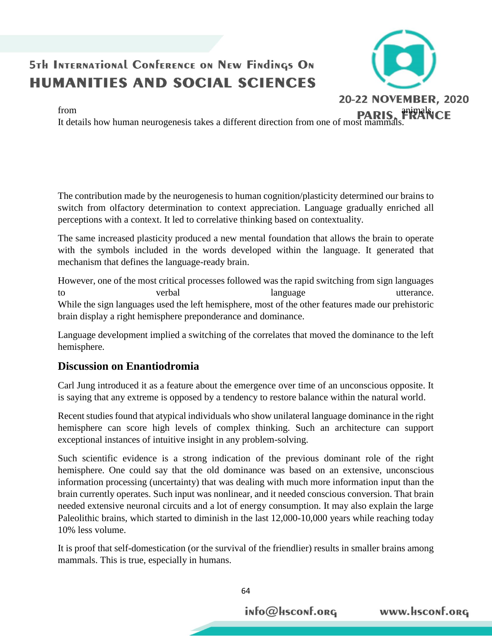

www.Hsconf.org

It details how human neurogenesis takes a different direction from one of most mammals.

The contribution made by the neurogenesis to human cognition/plasticity determined our brains to switch from olfactory determination to context appreciation. Language gradually enriched all perceptions with a context. It led to correlative thinking based on contextuality.

The same increased plasticity produced a new mental foundation that allows the brain to operate with the symbols included in the words developed within the language. It generated that mechanism that defines the language-ready brain.

However, one of the most critical processes followed was the rapid switching from sign languages to verbal verbal language that the utterance. While the sign languages used the left hemisphere, most of the other features made our prehistoric brain display a right hemisphere preponderance and dominance.

Language development implied a switching of the correlates that moved the dominance to the left hemisphere.

### **Discussion on Enantiodromia**

Carl Jung introduced it as a feature about the emergence over time of an unconscious opposite. It is saying that any extreme is opposed by a tendency to restore balance within the natural world.

Recent studies found that atypical individuals who show unilateral language dominance in the right hemisphere can score high levels of complex thinking. Such an architecture can support exceptional instances of intuitive insight in any problem-solving.

Such scientific evidence is a strong indication of the previous dominant role of the right hemisphere. One could say that the old dominance was based on an extensive, unconscious information processing (uncertainty) that was dealing with much more information input than the brain currently operates. Such input was nonlinear, and it needed conscious conversion. That brain needed extensive neuronal circuits and a lot of energy consumption. It may also explain the large Paleolithic brains, which started to diminish in the last 12,000-10,000 years while reaching today 10% less volume.

It is proof that self-domestication (or the survival of the friendlier) results in smaller brains among mammals. This is true, especially in humans.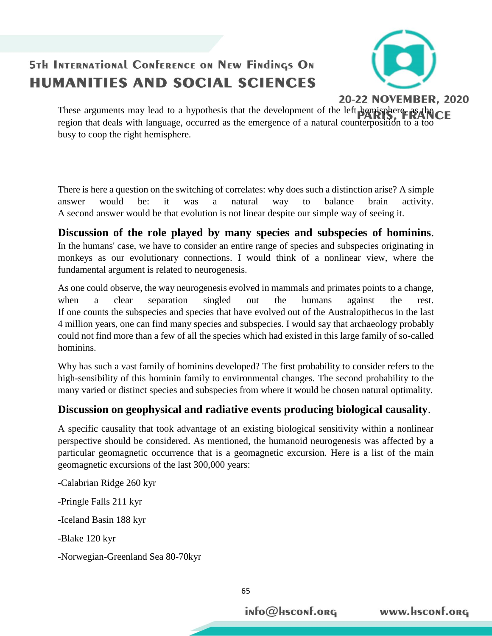

20-22 NOVEMBER, 2020

www.hsconf.org

These arguments may lead to a hypothesis that the development of the left hemisphere, as the CF region that deals with language, occurred as the emergence of a natural counterposition to a too busy to coop the right hemisphere.

There is here a question on the switching of correlates: why does such a distinction arise? A simple answer would be: it was a natural way to balance brain activity. A second answer would be that evolution is not linear despite our simple way of seeing it.

**Discussion of the role played by many species and subspecies of hominins**. In the humans' case, we have to consider an entire range of species and subspecies originating in monkeys as our evolutionary connections. I would think of a nonlinear view, where the fundamental argument is related to neurogenesis.

As one could observe, the way neurogenesis evolved in mammals and primates points to a change, when a clear separation singled out the humans against the rest. If one counts the subspecies and species that have evolved out of the Australopithecus in the last 4 million years, one can find many species and subspecies. I would say that archaeology probably could not find more than a few of all the species which had existed in this large family of so-called hominins.

Why has such a vast family of hominins developed? The first probability to consider refers to the high-sensibility of this hominin family to environmental changes. The second probability to the many varied or distinct species and subspecies from where it would be chosen natural optimality.

### **Discussion on geophysical and radiative events producing biological causality**.

A specific causality that took advantage of an existing biological sensitivity within a nonlinear perspective should be considered. As mentioned, the humanoid neurogenesis was affected by a particular geomagnetic occurrence that is a geomagnetic excursion. Here is a list of the main geomagnetic excursions of the last 300,000 years:

-Calabrian Ridge 260 kyr

-Pringle Falls 211 kyr

-Iceland Basin 188 kyr

-Blake 120 kyr

-Norwegian-Greenland Sea 80-70kyr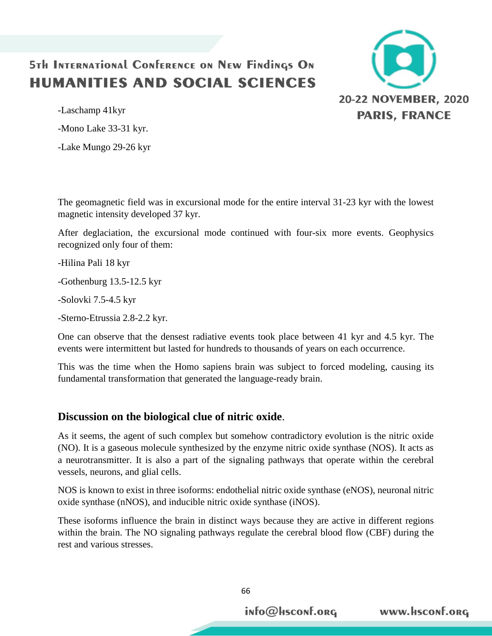

www.hsconf.org

-Laschamp 41kyr

-Mono Lake 33-31 kyr.

-Lake Mungo 29-26 kyr

The geomagnetic field was in excursional mode for the entire interval 31-23 kyr with the lowest magnetic intensity developed 37 kyr.

After deglaciation, the excursional mode continued with four-six more events. Geophysics recognized only four of them:

-Hilina Pali 18 kyr

-Gothenburg 13.5-12.5 kyr

-Solovki 7.5-4.5 kyr

-Sterno-Etrussia 2.8-2.2 kyr.

One can observe that the densest radiative events took place between 41 kyr and 4.5 kyr. The events were intermittent but lasted for hundreds to thousands of years on each occurrence.

This was the time when the Homo sapiens brain was subject to forced modeling, causing its fundamental transformation that generated the language-ready brain.

### **Discussion on the biological clue of nitric oxide**.

As it seems, the agent of such complex but somehow contradictory evolution is the nitric oxide (NO). It is a gaseous molecule synthesized by the enzyme nitric oxide synthase (NOS). It acts as a neurotransmitter. It is also a part of the signaling pathways that operate within the cerebral vessels, neurons, and glial cells.

NOS is known to exist in three isoforms: endothelial nitric oxide synthase (eNOS), neuronal nitric oxide synthase (nNOS), and inducible nitric oxide synthase (iNOS).

These isoforms influence the brain in distinct ways because they are active in different regions within the brain. The NO signaling pathways regulate the cerebral blood flow (CBF) during the rest and various stresses.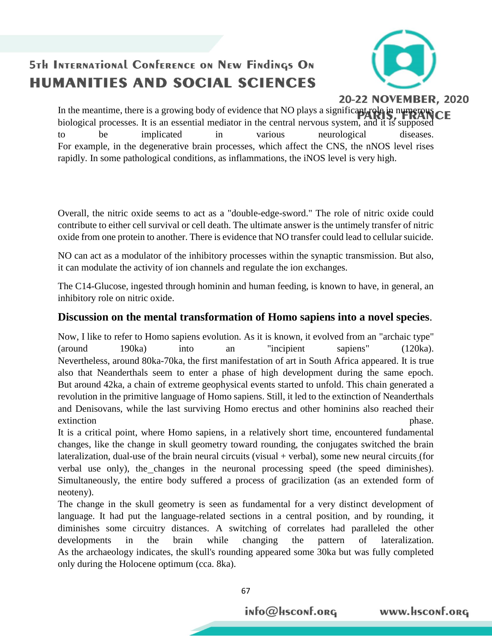

20-22 NOVEMBER, 2020

In the meantime, there is a growing body of evidence that NO plays a significant role in numerous CE biological processes. It is an essential mediator in the central nervous system, and it is supposed to be implicated in various neurological diseases. For example, in the degenerative brain processes, which affect the CNS, the nNOS level rises rapidly. In some pathological conditions, as inflammations, the iNOS level is very high.

Overall, the nitric oxide seems to act as a "double-edge-sword." The role of nitric oxide could contribute to either cell survival or cell death. The ultimate answer is the untimely transfer of nitric oxide from one protein to another. There is evidence that NO transfer could lead to cellular suicide.

NO can act as a modulator of the inhibitory processes within the synaptic transmission. But also, it can modulate the activity of ion channels and regulate the ion exchanges.

The C14-Glucose, ingested through hominin and human feeding, is known to have, in general, an inhibitory role on nitric oxide.

#### **Discussion on the mental transformation of Homo sapiens into a novel species**.

Now, I like to refer to Homo sapiens evolution. As it is known, it evolved from an "archaic type" (around 190ka) into an "incipient sapiens" (120ka). Nevertheless, around 80ka-70ka, the first manifestation of art in South Africa appeared. It is true also that Neanderthals seem to enter a phase of high development during the same epoch. But around 42ka, a chain of extreme geophysical events started to unfold. This chain generated a revolution in the primitive language of Homo sapiens. Still, it led to the extinction of Neanderthals and Denisovans, while the last surviving Homo erectus and other hominins also reached their extinction phase.

It is a critical point, where Homo sapiens, in a relatively short time, encountered fundamental changes, like the change in skull geometry toward rounding, the conjugates switched the brain lateralization, dual-use of the brain neural circuits (visual + verbal), some new neural circuits (for verbal use only), the changes in the neuronal processing speed (the speed diminishes). Simultaneously, the entire body suffered a process of gracilization (as an extended form of neoteny).

The change in the skull geometry is seen as fundamental for a very distinct development of language. It had put the language-related sections in a central position, and by rounding, it diminishes some circuitry distances. A switching of correlates had paralleled the other developments in the brain while changing the pattern of lateralization. As the archaeology indicates, the skull's rounding appeared some 30ka but was fully completed only during the Holocene optimum (cca. 8ka).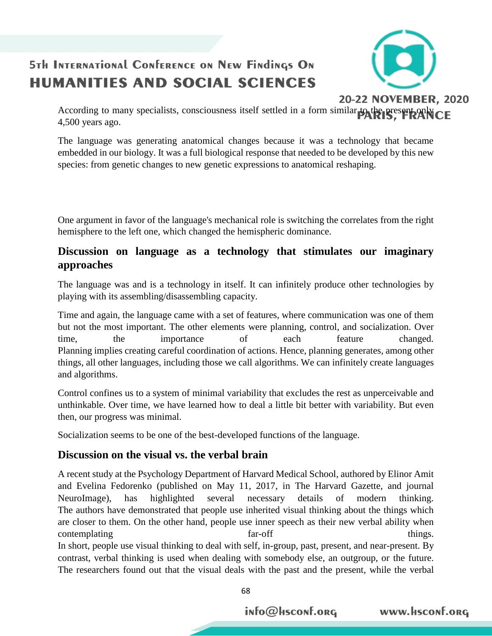

www.Hsconf.org

According to many specialists, consciousness itself settled in a form similar to the present only CE 4,500 years ago.

The language was generating anatomical changes because it was a technology that became embedded in our biology. It was a full biological response that needed to be developed by this new species: from genetic changes to new genetic expressions to anatomical reshaping.

One argument in favor of the language's mechanical role is switching the correlates from the right hemisphere to the left one, which changed the hemispheric dominance.

### **Discussion on language as a technology that stimulates our imaginary approaches**

The language was and is a technology in itself. It can infinitely produce other technologies by playing with its assembling/disassembling capacity.

Time and again, the language came with a set of features, where communication was one of them but not the most important. The other elements were planning, control, and socialization. Over time, the importance of each feature changed. Planning implies creating careful coordination of actions. Hence, planning generates, among other things, all other languages, including those we call algorithms. We can infinitely create languages and algorithms.

Control confines us to a system of minimal variability that excludes the rest as unperceivable and unthinkable. Over time, we have learned how to deal a little bit better with variability. But even then, our progress was minimal.

Socialization seems to be one of the best-developed functions of the language.

### **Discussion on the visual vs. the verbal brain**

A recent study at the Psychology Department of Harvard Medical School, authored by Elinor Amit and Evelina Fedorenko (published on May 11, 2017, in The Harvard Gazette, and journal NeuroImage), has highlighted several necessary details of modern thinking. The authors have demonstrated that people use inherited visual thinking about the things which are closer to them. On the other hand, people use inner speech as their new verbal ability when contemplating far-off things. In short, people use visual thinking to deal with self, in-group, past, present, and near-present. By contrast, verbal thinking is used when dealing with somebody else, an outgroup, or the future. The researchers found out that the visual deals with the past and the present, while the verbal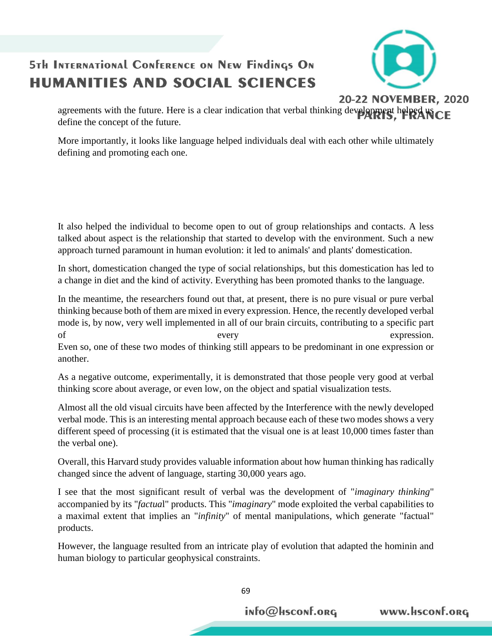

20-22 NOVEMBER, 2020

www.Hsconf.org

agreements with the future. Here is a clear indication that verbal thinking development helped us CE define the concept of the future.

More importantly, it looks like language helped individuals deal with each other while ultimately defining and promoting each one.

It also helped the individual to become open to out of group relationships and contacts. A less talked about aspect is the relationship that started to develop with the environment. Such a new approach turned paramount in human evolution: it led to animals' and plants' domestication.

In short, domestication changed the type of social relationships, but this domestication has led to a change in diet and the kind of activity. Everything has been promoted thanks to the language.

In the meantime, the researchers found out that, at present, there is no pure visual or pure verbal thinking because both of them are mixed in every expression. Hence, the recently developed verbal mode is, by now, very well implemented in all of our brain circuits, contributing to a specific part of every expression. Even so, one of these two modes of thinking still appears to be predominant in one expression or another.

As a negative outcome, experimentally, it is demonstrated that those people very good at verbal thinking score about average, or even low, on the object and spatial visualization tests.

Almost all the old visual circuits have been affected by the Interference with the newly developed verbal mode. This is an interesting mental approach because each of these two modes shows a very different speed of processing (it is estimated that the visual one is at least 10,000 times faster than the verbal one).

Overall, this Harvard study provides valuable information about how human thinking has radically changed since the advent of language, starting 30,000 years ago.

I see that the most significant result of verbal was the development of "*imaginary thinking*" accompanied by its "*factua*l" products. This "*imaginary*" mode exploited the verbal capabilities to a maximal extent that implies an "*infinity*" of mental manipulations, which generate "factual" products.

However, the language resulted from an intricate play of evolution that adapted the hominin and human biology to particular geophysical constraints.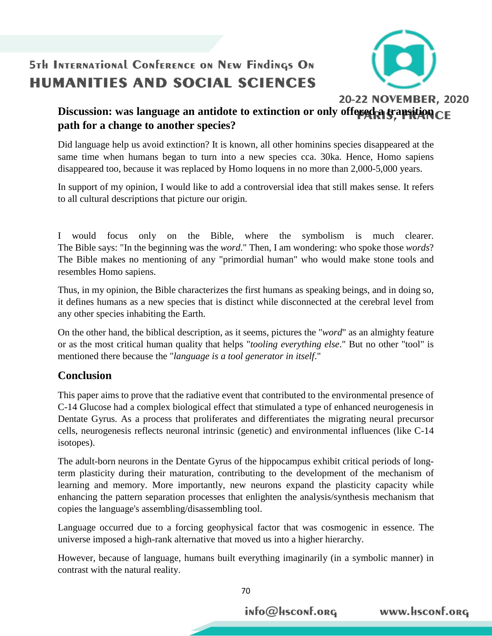

www.Hsconf.org

### **Discussion:** was language an antidote to extinction or only offered a transition CE **path for a change to another species?**

Did language help us avoid extinction? It is known, all other hominins species disappeared at the same time when humans began to turn into a new species cca. 30ka. Hence, Homo sapiens disappeared too, because it was replaced by Homo loquens in no more than 2,000-5,000 years.

In support of my opinion, I would like to add a controversial idea that still makes sense. It refers to all cultural descriptions that picture our origin.

I would focus only on the Bible, where the symbolism is much clearer. The Bible says: "In the beginning was the *word*." Then, I am wondering: who spoke those *words*? The Bible makes no mentioning of any "primordial human" who would make stone tools and resembles Homo sapiens.

Thus, in my opinion, the Bible characterizes the first humans as speaking beings, and in doing so, it defines humans as a new species that is distinct while disconnected at the cerebral level from any other species inhabiting the Earth.

On the other hand, the biblical description, as it seems, pictures the "*word*" as an almighty feature or as the most critical human quality that helps "*tooling everything else*." But no other "tool" is mentioned there because the "*language is a tool generator in itself*."

### **Conclusion**

This paper aims to prove that the radiative event that contributed to the environmental presence of C-14 Glucose had a complex biological effect that stimulated a type of enhanced neurogenesis in Dentate Gyrus. As a process that proliferates and differentiates the migrating neural precursor cells, neurogenesis reflects neuronal intrinsic (genetic) and environmental influences (like C-14 isotopes).

The adult-born neurons in the Dentate Gyrus of the hippocampus exhibit critical periods of longterm plasticity during their maturation, contributing to the development of the mechanism of learning and memory. More importantly, new neurons expand the plasticity capacity while enhancing the pattern separation processes that enlighten the analysis/synthesis mechanism that copies the language's assembling/disassembling tool.

Language occurred due to a forcing geophysical factor that was cosmogenic in essence. The universe imposed a high-rank alternative that moved us into a higher hierarchy.

However, because of language, humans built everything imaginarily (in a symbolic manner) in contrast with the natural reality.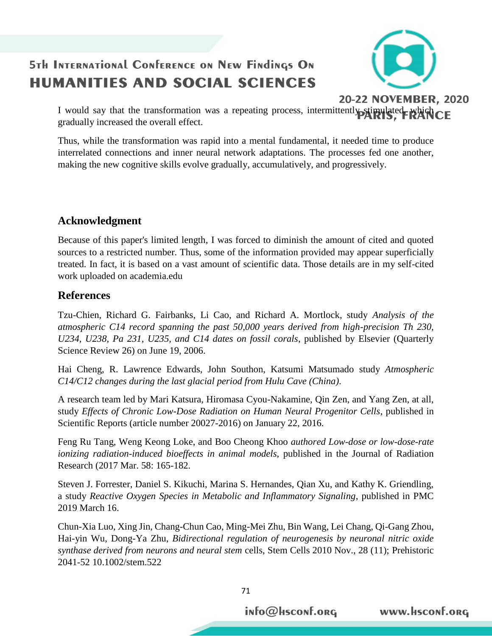

www.Hsconf.org

I would say that the transformation was a repeating process, intermittently stimulated, which CE gradually increased the overall effect.

Thus, while the transformation was rapid into a mental fundamental, it needed time to produce interrelated connections and inner neural network adaptations. The processes fed one another, making the new cognitive skills evolve gradually, accumulatively, and progressively.

### **Acknowledgment**

Because of this paper's limited length, I was forced to diminish the amount of cited and quoted sources to a restricted number. Thus, some of the information provided may appear superficially treated. In fact, it is based on a vast amount of scientific data. Those details are in my self-cited work uploaded on academia.edu

### **References**

Tzu-Chien, Richard G. Fairbanks, Li Cao, and Richard A. Mortlock, study *Analysis of the atmospheric C14 record spanning the past 50,000 years derived from high-precision Th 230, U234, U238, Pa 231, U235, and C14 dates on fossil corals*, published by Elsevier (Quarterly Science Review 26) on June 19, 2006.

Hai Cheng, R. Lawrence Edwards, John Southon, Katsumi Matsumado study *Atmospheric C14/C12 changes during the last glacial period from Hulu Cave (China)*.

A research team led by Mari Katsura, Hiromasa Cyou-Nakamine, Qin Zen, and Yang Zen, at all, study *Effects of Chronic Low-Dose Radiation on Human Neural Progenitor Cells*, published in Scientific Reports (article number 20027-2016) on January 22, 2016.

Feng Ru Tang, Weng Keong Loke, and Boo Cheong Khoo *authored Low-dose or low-dose-rate ionizing radiation-induced bioeffects in animal models,* published in the Journal of Radiation Research (2017 Mar. 58: 165-182.

Steven J. Forrester, Daniel S. Kikuchi, Marina S. Hernandes, Qian Xu, and Kathy K. Griendling, a study *Reactive Oxygen Species in Metabolic and Inflammatory Signaling*, published in PMC 2019 March 16.

Chun-Xia Luo, Xing Jin, Chang-Chun Cao, Ming-Mei Zhu, Bin Wang, Lei Chang, Qi-Gang Zhou, Hai-yin Wu, Dong-Ya Zhu, *Bidirectional regulation of neurogenesis by neuronal nitric oxide synthase derived from neurons and neural stem* cells, Stem Cells 2010 Nov., 28 (11); Prehistoric 2041-52 10.1002/stem.522